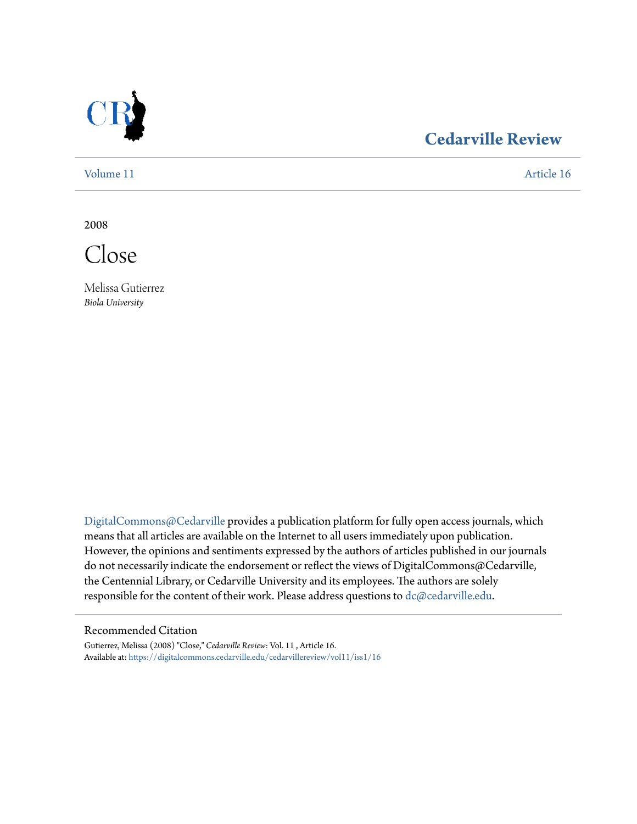

## **[Cedarville Review](https://digitalcommons.cedarville.edu/cedarvillereview?utm_source=digitalcommons.cedarville.edu%2Fcedarvillereview%2Fvol11%2Fiss1%2F16&utm_medium=PDF&utm_campaign=PDFCoverPages)**

[Volume 11](https://digitalcommons.cedarville.edu/cedarvillereview/vol11?utm_source=digitalcommons.cedarville.edu%2Fcedarvillereview%2Fvol11%2Fiss1%2F16&utm_medium=PDF&utm_campaign=PDFCoverPages) [Article 16](https://digitalcommons.cedarville.edu/cedarvillereview/vol11/iss1/16?utm_source=digitalcommons.cedarville.edu%2Fcedarvillereview%2Fvol11%2Fiss1%2F16&utm_medium=PDF&utm_campaign=PDFCoverPages)

2008

Close

Melissa Gutierrez *Biola University*

[DigitalCommons@Cedarville](http://digitalcommons.cedarville.edu) provides a publication platform for fully open access journals, which means that all articles are available on the Internet to all users immediately upon publication. However, the opinions and sentiments expressed by the authors of articles published in our journals do not necessarily indicate the endorsement or reflect the views of DigitalCommons@Cedarville, the Centennial Library, or Cedarville University and its employees. The authors are solely responsible for the content of their work. Please address questions to [dc@cedarville.edu](mailto:dc@cedarville.edu).

#### Recommended Citation

Gutierrez, Melissa (2008) "Close," *Cedarville Review*: Vol. 11 , Article 16. Available at: [https://digitalcommons.cedarville.edu/cedarvillereview/vol11/iss1/16](https://digitalcommons.cedarville.edu/cedarvillereview/vol11/iss1/16?utm_source=digitalcommons.cedarville.edu%2Fcedarvillereview%2Fvol11%2Fiss1%2F16&utm_medium=PDF&utm_campaign=PDFCoverPages)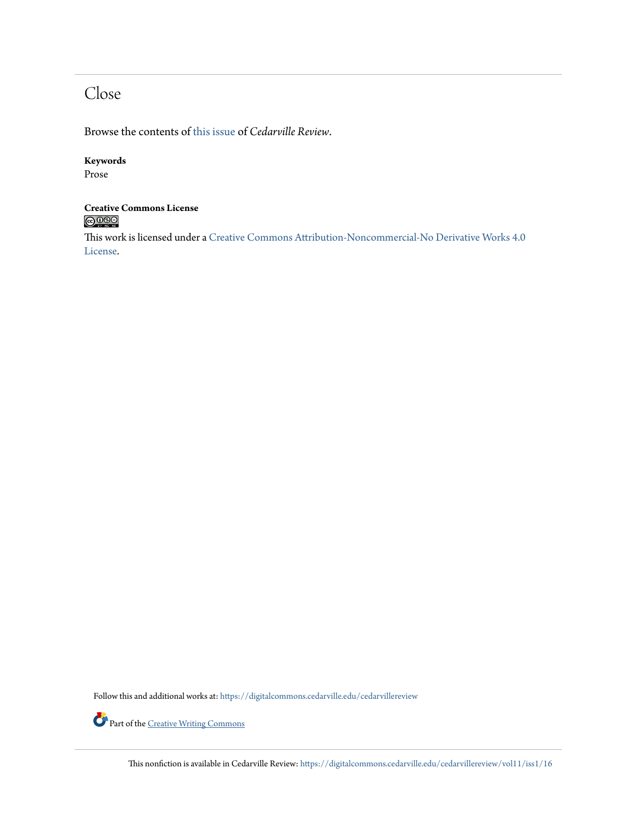## Close

Browse the contents of [this issue](https://digitalcommons.cedarville.edu/cedarvillereview/vol11/iss1) of *Cedarville Review*.

#### **Keywords**

Prose

# **Creative Commons License**

This work is licensed under a [Creative Commons Attribution-Noncommercial-No Derivative Works 4.0](http://creativecommons.org/licenses/by-nc-nd/4.0/) [License.](http://creativecommons.org/licenses/by-nc-nd/4.0/)

Follow this and additional works at: [https://digitalcommons.cedarville.edu/cedarvillereview](https://digitalcommons.cedarville.edu/cedarvillereview?utm_source=digitalcommons.cedarville.edu%2Fcedarvillereview%2Fvol11%2Fiss1%2F16&utm_medium=PDF&utm_campaign=PDFCoverPages)



Part of the <u>[Creative Writing Commons](http://network.bepress.com/hgg/discipline/574?utm_source=digitalcommons.cedarville.edu%2Fcedarvillereview%2Fvol11%2Fiss1%2F16&utm_medium=PDF&utm_campaign=PDFCoverPages)</u>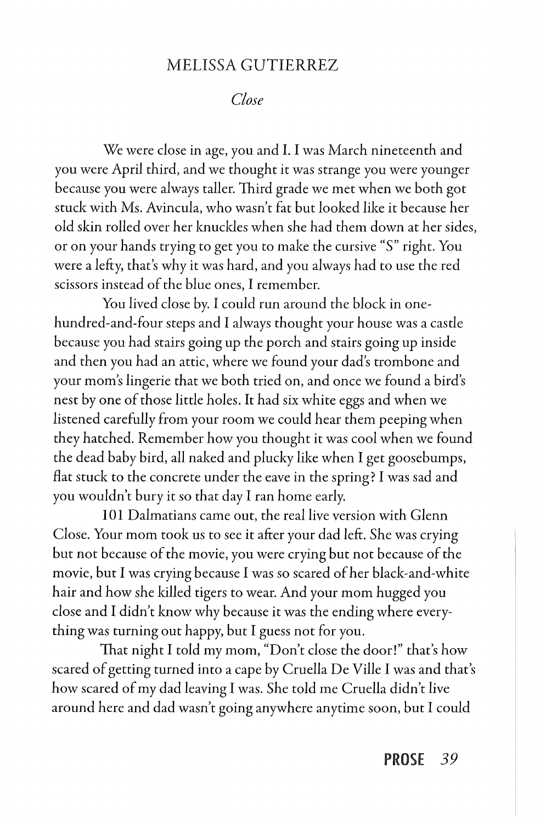### MELISSA GUTIERREZ

*Close* 

We were close in age, you and I. I was March nineteenth and you were April third, and we thought it was strange you were younger because you were always taller. Third grade we met when we both got stuck with Ms. Avincula, who wasn't fat but looked like it because her old skin rolled over her knuckles when she had them down at her sides, or on your hands trying to get you to make the cursive "S" right. You were a lefty, that's why it was hard, and you always had to use the red scissors instead of the blue ones, I remember.

You lived close by. I could run around the block in onehundred-and-four steps and I always thought your house was a castle because you had stairs going up the porch and stairs going up inside and then you had an attic, where we found your dad's trombone and your mom's lingerie that we both tried on, and once we found a bird's nest by one of those little holes. It had six white eggs and when we listened carefully from your room we could hear them peeping when they hatched. Remember how you thought it was cool when we found the dead baby bird, all naked and plucky like when I get goosebumps, flat stuck to the concrete under the eave in the spring? I was sad and you wouldn't bury it so that day I ran home early.

101 Dalmatians came out, the real live version with Glenn Close. Your mom took us to see it after your dad left. She was crying but not because of the movie, you were crying but not because of the movie, but I was crying because I was so scared of her black-and-white hair and how she killed tigers to wear. And your mom hugged you close and I didn't know why because it was the ending where everything was turning out happy, but I guess not for you.

That night I told my mom, "Don't close the door!" that's how scared of getting turned into a cape by Cruella De Ville I was and that's how scared of my dad leaving I was. She told me Cruella didn't live around here and dad wasn't going anywhere anytime soon, but I could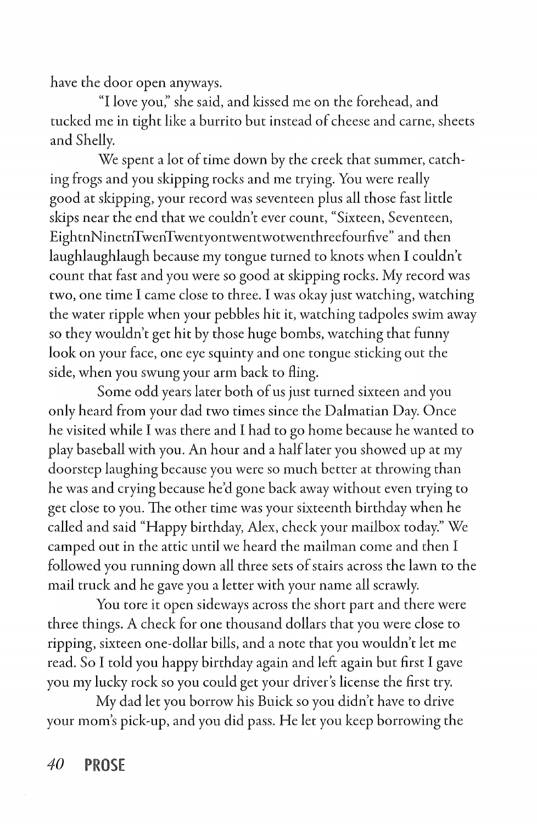have the door open anyways.

"I love you;' she said, and kissed me on the forehead, and tucked me in tight like a burrito but instead of cheese and came, sheets and Shelly.

We spent a lot of time down by the creek that summer, catching frogs and you skipping rocks and me trying. You were really good at skipping, your record was seventeen plus all those fast little skips near the end that we couldn't ever count, "Sixteen, Seventeen, EightnNinetnTwenTwentyontwentwotwenthreefourfive" and then laughlaughlaugh because my tongue turned to knots when I couldn't count that fast and you were so good at skipping rocks. My record was two, one time I came close to three. I was okay just watching, watching the water ripple when your pebbles hit it, watching tadpoles swim away so they wouldn't get hit by those huge bombs, watching that funny look on your face, one eye squinty and one tongue sticking out the side, when you swung your arm back to fling.

Some odd years later both of us just turned sixteen and you only heard from your dad two times since the Dalmatian Day. Once he visited while I was there and I had to go home because he wanted to play baseball with you. An hour and a half later you showed up at my doorstep laughing because you were so much better at throwing than he was and crying because he'd gone back away without even trying to get close to you. The other time was your sixteenth birthday when he called and said "Happy birthday, Alex, check your mailbox today." We camped out in the attic until we heard the mailman come and then I followed you running down all three sets of stairs across the lawn to the mail truck and he gave you a letter with your name all scrawly.

You tore it open sideways across the short part and there were three things. A check for one thousand dollars that you were close to ripping, sixteen one-dollar bills, and a note that you wouldn't let me read. So I told you happy birthday again and left again but first I gave you my lucky rock so you could get your driver's license the first try.

My dad let you borrow his Buick so you didn't have to drive your mom's pick-up, and you did pass. He let you keep borrowing the